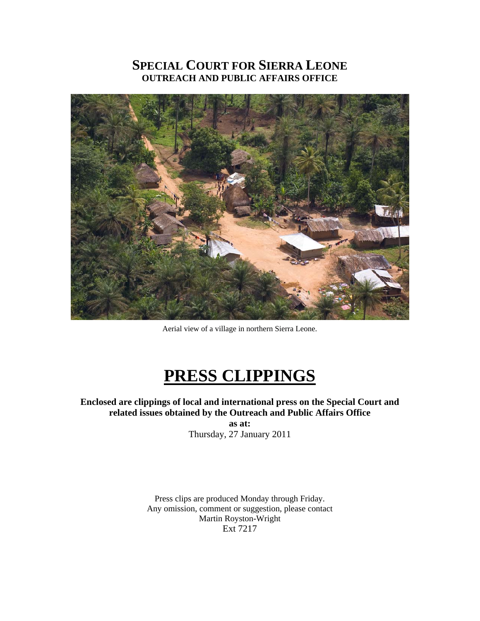### **SPECIAL COURT FOR SIERRA LEONE OUTREACH AND PUBLIC AFFAIRS OFFICE**



Aerial view of a village in northern Sierra Leone.

## **PRESS CLIPPINGS**

**Enclosed are clippings of local and international press on the Special Court and related issues obtained by the Outreach and Public Affairs Office as at:** 

Thursday, 27 January 2011

Press clips are produced Monday through Friday. Any omission, comment or suggestion, please contact Martin Royston-Wright Ext 7217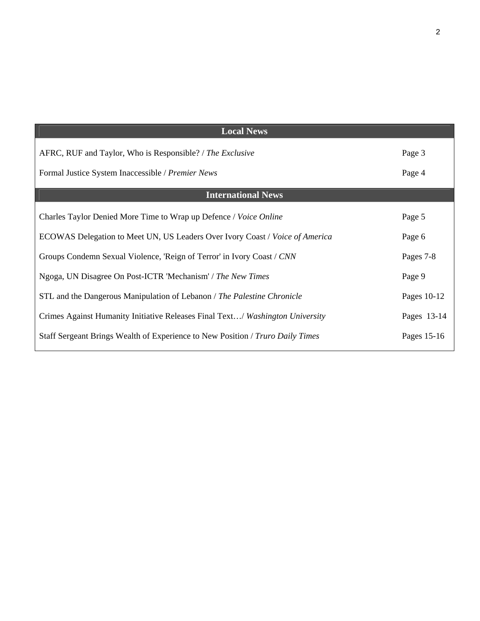| <b>Local News</b>                                                              |             |
|--------------------------------------------------------------------------------|-------------|
| AFRC, RUF and Taylor, Who is Responsible? / The Exclusive                      | Page 3      |
| Formal Justice System Inaccessible / Premier News                              | Page 4      |
| <b>International News</b>                                                      |             |
| Charles Taylor Denied More Time to Wrap up Defence / Voice Online              | Page 5      |
| ECOWAS Delegation to Meet UN, US Leaders Over Ivory Coast / Voice of America   | Page 6      |
| Groups Condemn Sexual Violence, 'Reign of Terror' in Ivory Coast / CNN         | Pages 7-8   |
| Ngoga, UN Disagree On Post-ICTR 'Mechanism' / The New Times                    | Page 9      |
| STL and the Dangerous Manipulation of Lebanon / The Palestine Chronicle        | Pages 10-12 |
| Crimes Against Humanity Initiative Releases Final Text/ Washington University  | Pages 13-14 |
| Staff Sergeant Brings Wealth of Experience to New Position / Truro Daily Times | Pages 15-16 |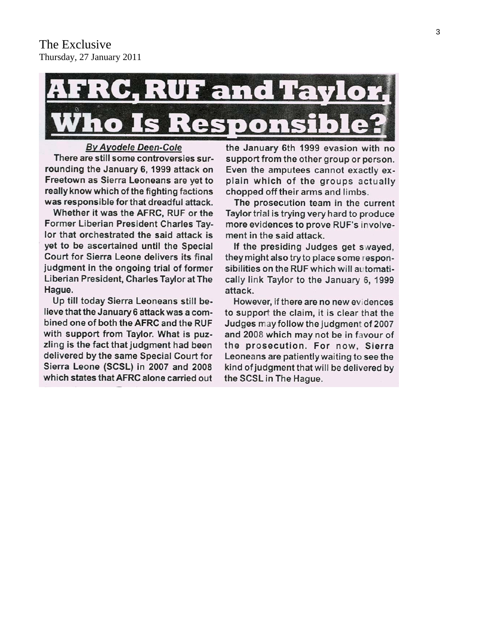

**By Ayodele Deen-Cole** 

There are still some controversies surrounding the January 6, 1999 attack on Freetown as Sierra Leoneans are yet to really know which of the fighting factions was responsible for that dreadful attack.

Whether it was the AFRC, RUF or the Former Liberian President Charles Taylor that orchestrated the said attack is yet to be ascertained until the Special Court for Sierra Leone delivers its final judgment in the ongoing trial of former Liberian President, Charles Taylor at The Haque.

Up till today Sierra Leoneans still believe that the January 6 attack was a combined one of both the AFRC and the RUF with support from Taylor. What is puzzling is the fact that judgment had been delivered by the same Special Court for Sierra Leone (SCSL) in 2007 and 2008 which states that AFRC alone carried out

the January 6th 1999 evasion with no support from the other group or person. Even the amputees cannot exactly explain which of the groups actually chopped off their arms and limbs.

The prosecution team in the current Taylor trial is trying very hard to produce more evidences to prove RUF's involvement in the said attack.

If the presiding Judges get swayed, they might also try to place some responsibilities on the RUF which will automatically link Taylor to the January 6, 1999 attack.

However, if there are no new evidences to support the claim, it is clear that the Judges may follow the judgment of 2007 and 2008 which may not be in favour of the prosecution. For now, Sierra Leoneans are patiently waiting to see the kind of judgment that will be delivered by the SCSL in The Hague.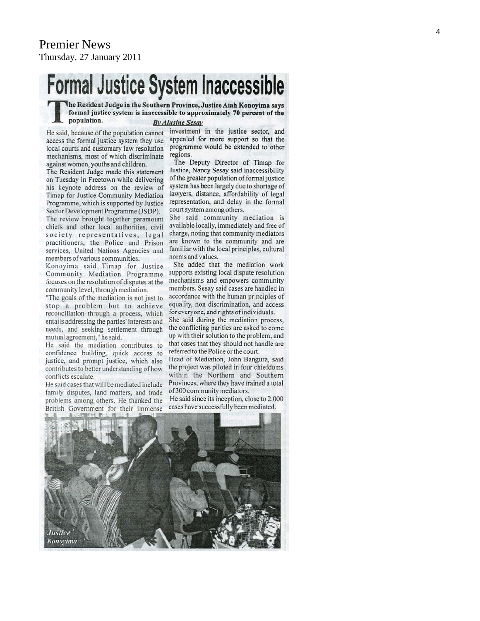# **Formal Justice System Inaccessible**

The Resident Judge in the Southern Province, Justice Aiah Konovima says formal justice system is inaccessible to approximately 70 percent of the population.

#### **By Alusine Sesay**

He said, because of the population cannot access the formal justice system they use local courts and customary law resolution mechanisms, most of which discriminate against women, youths and children.

The Resident Judge made this statement on Tuesday in Freetown while delivering his keynote address on the review of Timap for Justice Community Mediation Programme, which is supported by Justice Sector Development Programme (JSDP). The review brought together paramount chiefs and other local authorities, civil society representatives, legal practitioners, the Police and Prison services, United Nations Agencies and members of various communities.

Konoyima said Timap for Justice Community Mediation Programme focuses on the resolution of disputes at the community level, through mediation.

"The goals of the mediation is not just to stop a problem but to achieve reconciliation through a process, which entails addressing the parties' interests and needs, and seeking settlement through mutual agreement," he said.

He said the mediation contributes to confidence building, quick access to justice, and prompt justice, which also contributes to better understanding of how conflicts escalate.

He said cases that will be mediated include family disputes, land matters, and trade problems among others. He thanked the British Government for their immense

investment in the justice sector, and appealed for more support so that the programme would be extended to other regions.

The Deputy Director of Timap for Justice, Nancy Sesay said inaccessibility of the greater population of formal justice system has been largely due to shortage of lawyers, distance, affordability of legal representation, and delay in the formal court system among others.

She said community mediation is available locally, immediately and free of charge, noting that community mediators are known to the community and are familiar with the local principles, cultural norms and values.

She added that the mediation work supports existing local dispute resolution mechanisms and empowers community members. Sesay said cases are handled in accordance with the human principles of equality, non discrimination, and access for everyone, and rights of individuals.

She said during the mediation process, the conflicting parities are asked to come up with their solution to the problem, and that cases that they should not handle are referred to the Police or the court.

Head of Mediation, John Bangura, said the project was piloted in four chiefdoms within the Northern and Southern Provinces, where they have trained a total of 300 community mediators.

He said since its inception, close to 2,000 cases have successfully been mediated.

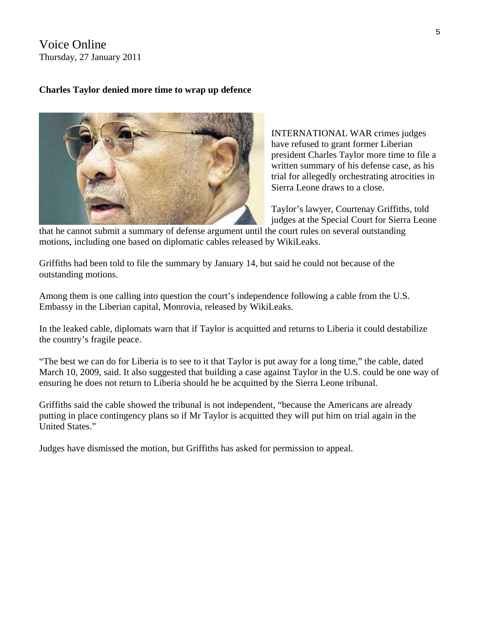Voice Online Thursday, 27 January 2011

#### **Charles Taylor denied more time to wrap up defence**



INTERNATIONAL WAR crimes judges have refused to grant former Liberian president Charles Taylor more time to file a written summary of his defense case, as his trial for allegedly orchestrating atrocities in Sierra Leone draws to a close.

Taylor's lawyer, Courtenay Griffiths, told judges at the Special Court for Sierra Leone

that he cannot submit a summary of defense argument until the court rules on several outstanding motions, including one based on diplomatic cables released by WikiLeaks.

Griffiths had been told to file the summary by January 14, but said he could not because of the outstanding motions.

Among them is one calling into question the court's independence following a cable from the U.S. Embassy in the Liberian capital, Monrovia, released by WikiLeaks.

In the leaked cable, diplomats warn that if Taylor is acquitted and returns to Liberia it could destabilize the country's fragile peace.

"The best we can do for Liberia is to see to it that Taylor is put away for a long time," the cable, dated March 10, 2009, said. It also suggested that building a case against Taylor in the U.S. could be one way of ensuring he does not return to Liberia should he be acquitted by the Sierra Leone tribunal.

Griffiths said the cable showed the tribunal is not independent, "because the Americans are already putting in place contingency plans so if Mr Taylor is acquitted they will put him on trial again in the United States."

Judges have dismissed the motion, but Griffiths has asked for permission to appeal.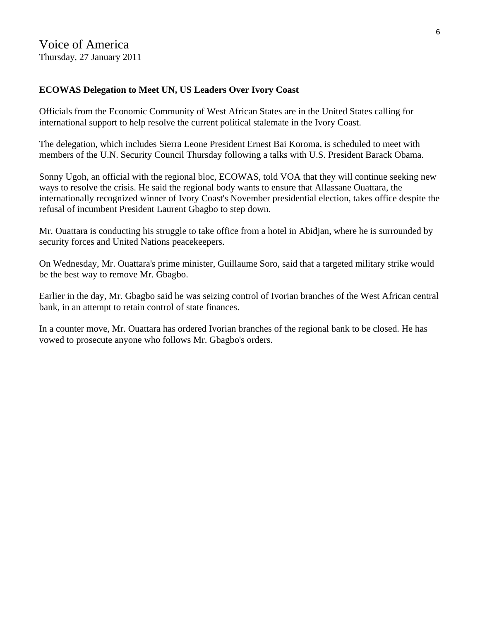#### **[ECOWAS Delegation to Meet UN, US Leaders Over Ivory Coast](http://blogs.voanews.com/breaking-news/2011/01/27/ecowas-delegation-to-meet-un-us-leaders-over-ivory-coast/)**

Officials from the Economic Community of West African States are in the United States calling for international support to help resolve the current political stalemate in the Ivory Coast.

The delegation, which includes Sierra Leone President Ernest Bai Koroma, is scheduled to meet with members of the U.N. Security Council Thursday following a talks with U.S. President Barack Obama.

Sonny Ugoh, an official with the regional bloc, ECOWAS, told VOA that they will continue seeking new ways to resolve the crisis. He said the regional body wants to ensure that Allassane Ouattara, the internationally recognized winner of Ivory Coast's November presidential election, takes office despite the refusal of incumbent President Laurent Gbagbo to step down.

Mr. Ouattara is conducting his struggle to take office from a hotel in Abidjan, where he is surrounded by security forces and United Nations peacekeepers.

On Wednesday, Mr. Ouattara's prime minister, Guillaume Soro, said that a targeted military strike would be the best way to remove Mr. Gbagbo.

Earlier in the day, Mr. Gbagbo said he was seizing control of Ivorian branches of the West African central bank, in an attempt to retain control of state finances.

In a counter move, Mr. Ouattara has ordered Ivorian branches of the regional bank to be closed. He has vowed to prosecute anyone who follows Mr. Gbagbo's orders.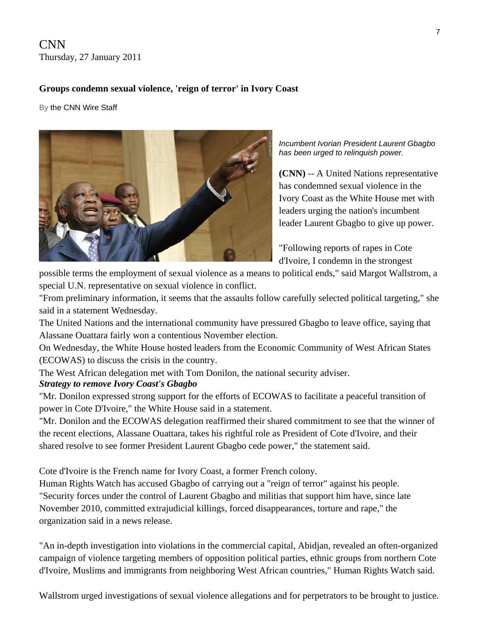CNN Thursday, 27 January 2011

#### **Groups condemn sexual violence, 'reign of terror' in Ivory Coast**

By the CNN Wire Staff



*Incumbent Ivorian President Laurent Gbagbo has been urged to relinquish power.* 

**(CNN)** -- A United Nations representative has condemned sexual violence in the Ivory Coast as the White House met with leaders urging the nation's incumbent leader Laurent Gbagbo to give up power.

"Following reports of rapes in Cote d'Ivoire, I condemn in the strongest

possible terms the employment of sexual violence as a means to political ends," said Margot Wallstrom, a special U.N. representative on sexual violence in conflict.

"From preliminary information, it seems that the assaults follow carefully selected political targeting," she said in a statement Wednesday.

The United Nations and the international community have pressured Gbagbo to leave office, saying that Alassane Ouattara fairly won a contentious November election.

On Wednesday, the White House hosted leaders from the Economic Community of West African States (ECOWAS) to discuss the crisis in the country.

The West African delegation met with Tom Donilon, the national security adviser. *Strategy to remove Ivory Coast's Gbagbo*

"Mr. Donilon expressed strong support for the efforts of ECOWAS to facilitate a peaceful transition of power in Cote D'Ivoire," the White House said in a statement.

"Mr. Donilon and the ECOWAS delegation reaffirmed their shared commitment to see that the winner of the recent elections, Alassane Ouattara, takes his rightful role as President of Cote d'Ivoire, and their shared resolve to see former President Laurent Gbagbo cede power," the statement said.

Cote d'Ivoire is the French name for Ivory Coast, a former French colony.

Human Rights Watch has accused Gbagbo of carrying out a "reign of terror" against his people. "Security forces under the control of Laurent Gbagbo and militias that support him have, since late November 2010, committed extrajudicial killings, forced disappearances, torture and rape," the organization said in a news release.

"An in-depth investigation into violations in the commercial capital, Abidjan, revealed an often-organized campaign of violence targeting members of opposition political parties, ethnic groups from northern Cote d'Ivoire, Muslims and immigrants from neighboring West African countries," Human Rights Watch said.

Wallstrom urged investigations of sexual violence allegations and for perpetrators to be brought to justice.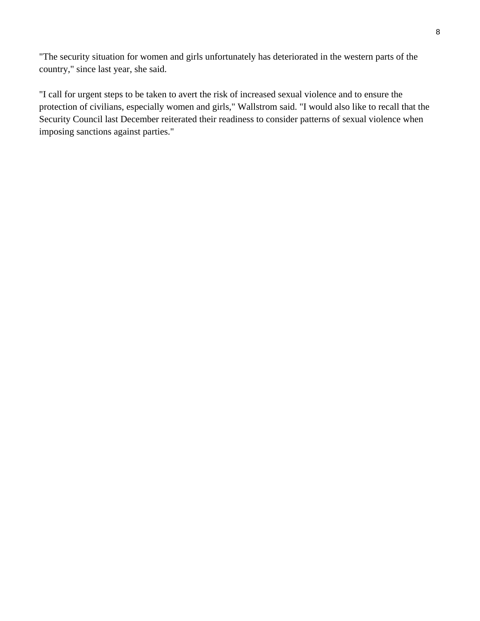"The security situation for women and girls unfortunately has deteriorated in the western parts of the country," since last year, she said.

"I call for urgent steps to be taken to avert the risk of increased sexual violence and to ensure the protection of civilians, especially women and girls," Wallstrom said. "I would also like to recall that the Security Council last December reiterated their readiness to consider patterns of sexual violence when imposing sanctions against parties."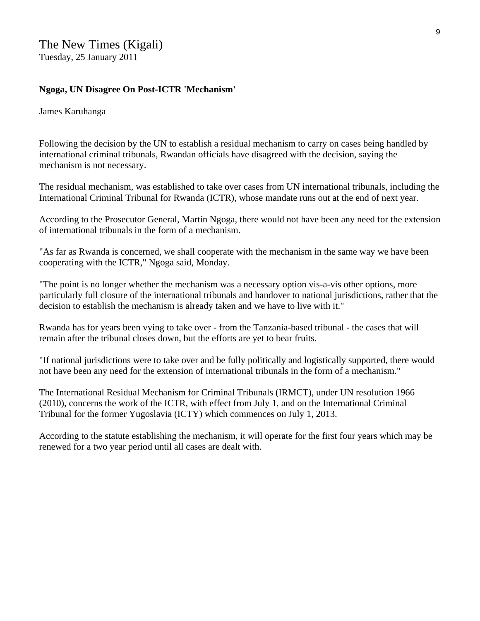#### **Ngoga, UN Disagree On Post-ICTR 'Mechanism'**

#### James Karuhanga

Following the decision by the UN to establish a residual mechanism to carry on cases being handled by international criminal tribunals, Rwandan officials have disagreed with the decision, saying the mechanism is not necessary.

The residual mechanism, was established to take over cases from UN international tribunals, including the International Criminal Tribunal for Rwanda (ICTR), whose mandate runs out at the end of next year.

According to the Prosecutor General, Martin Ngoga, there would not have been any need for the extension of international tribunals in the form of a mechanism.

"As far as Rwanda is concerned, we shall cooperate with the mechanism in the same way we have been cooperating with the ICTR," Ngoga said, Monday.

"The point is no longer whether the mechanism was a necessary option vis-a-vis other options, more particularly full closure of the international tribunals and handover to national jurisdictions, rather that the decision to establish the mechanism is already taken and we have to live with it."

Rwanda has for years been vying to take over - from the Tanzania-based tribunal - the cases that will remain after the tribunal closes down, but the efforts are yet to bear fruits.

"If national jurisdictions were to take over and be fully politically and logistically supported, there would not have been any need for the extension of international tribunals in the form of a mechanism."

The International Residual Mechanism for Criminal Tribunals (IRMCT), under UN resolution 1966 (2010), concerns the work of the ICTR, with effect from July 1, and on the International Criminal Tribunal for the former Yugoslavia (ICTY) which commences on July 1, 2013.

According to the statute establishing the mechanism, it will operate for the first four years which may be renewed for a two year period until all cases are dealt with.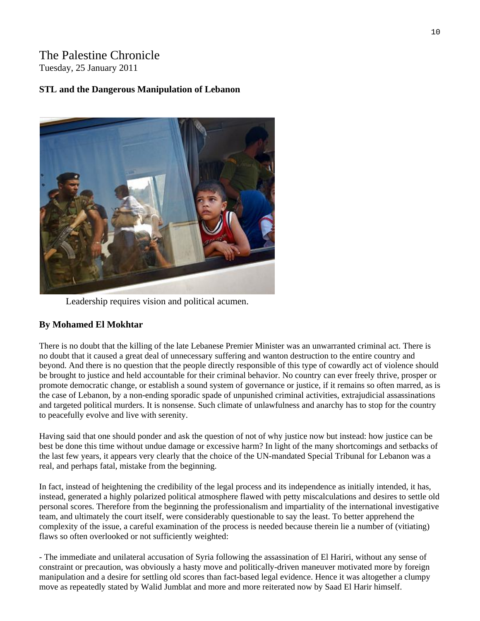## The Palestine Chronicle

Tuesday, 25 January 2011

#### **STL and the Dangerous Manipulation of Lebanon**



Leadership requires vision and political acumen.

#### **By Mohamed El Mokhtar**

There is no doubt that the killing of the late Lebanese Premier Minister was an unwarranted criminal act. There is no doubt that it caused a great deal of unnecessary suffering and wanton destruction to the entire country and beyond. And there is no question that the people directly responsible of this type of cowardly act of violence should be brought to justice and held accountable for their criminal behavior. No country can ever freely thrive, prosper or promote democratic change, or establish a sound system of governance or justice, if it remains so often marred, as is the case of Lebanon, by a non-ending sporadic spade of unpunished criminal activities, extrajudicial assassinations and targeted political murders. It is nonsense. Such climate of unlawfulness and anarchy has to stop for the country to peacefully evolve and live with serenity.

Having said that one should ponder and ask the question of not of why justice now but instead: how justice can be best be done this time without undue damage or excessive harm? In light of the many shortcomings and setbacks of the last few years, it appears very clearly that the choice of the UN-mandated Special Tribunal for Lebanon was a real, and perhaps fatal, mistake from the beginning.

In fact, instead of heightening the credibility of the legal process and its independence as initially intended, it has, instead, generated a highly polarized political atmosphere flawed with petty miscalculations and desires to settle old personal scores. Therefore from the beginning the professionalism and impartiality of the international investigative team, and ultimately the court itself, were considerably questionable to say the least. To better apprehend the complexity of the issue, a careful examination of the process is needed because therein lie a number of (vitiating) flaws so often overlooked or not sufficiently weighted:

- The immediate and unilateral accusation of Syria following the assassination of El Hariri, without any sense of constraint or precaution, was obviously a hasty move and politically-driven maneuver motivated more by foreign manipulation and a desire for settling old scores than fact-based legal evidence. Hence it was altogether a clumpy move as repeatedly stated by Walid Jumblat and more and more reiterated now by Saad El Harir himself.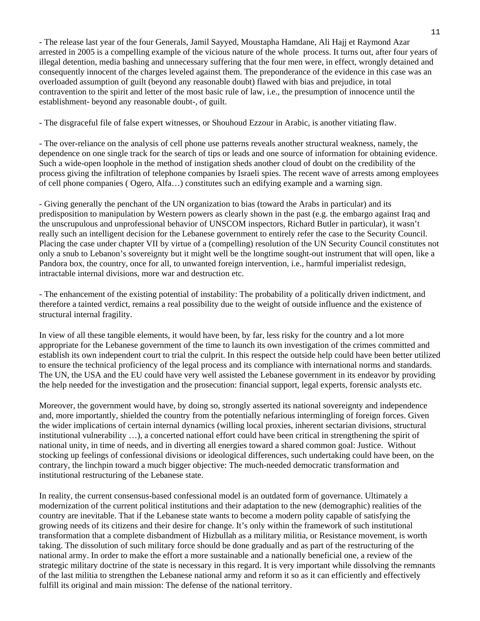- The release last year of the four Generals, Jamil Sayyed, Moustapha Hamdane, Ali Hajj et Raymond Azar arrested in 2005 is a compelling example of the vicious nature of the whole process. It turns out, after four years of illegal detention, media bashing and unnecessary suffering that the four men were, in effect, wrongly detained and consequently innocent of the charges leveled against them. The preponderance of the evidence in this case was an overloaded assumption of guilt (beyond any reasonable doubt) flawed with bias and prejudice, in total contravention to the spirit and letter of the most basic rule of law, i.e., the presumption of innocence until the establishment- beyond any reasonable doubt-, of guilt.

- The disgraceful file of false expert witnesses, or Shouhoud Ezzour in Arabic, is another vitiating flaw.

- The over-reliance on the analysis of cell phone use patterns reveals another structural weakness, namely, the dependence on one single track for the search of tips or leads and one source of information for obtaining evidence. Such a wide-open loophole in the method of instigation sheds another cloud of doubt on the credibility of the process giving the infiltration of telephone companies by Israeli spies. The recent wave of arrests among employees of cell phone companies ( Ogero, Alfa…) constitutes such an edifying example and a warning sign.

- Giving generally the penchant of the UN organization to bias (toward the Arabs in particular) and its predisposition to manipulation by Western powers as clearly shown in the past (e.g. the embargo against Iraq and the unscrupulous and unprofessional behavior of UNSCOM inspectors, Richard Butler in particular), it wasn't really such an intelligent decision for the Lebanese government to entirely refer the case to the Security Council. Placing the case under chapter VII by virtue of a (compelling) resolution of the UN Security Council constitutes not only a snub to Lebanon's sovereignty but it might well be the longtime sought-out instrument that will open, like a Pandora box, the country, once for all, to unwanted foreign intervention, i.e., harmful imperialist redesign, intractable internal divisions, more war and destruction etc.

- The enhancement of the existing potential of instability: The probability of a politically driven indictment, and therefore a tainted verdict, remains a real possibility due to the weight of outside influence and the existence of structural internal fragility.

In view of all these tangible elements, it would have been, by far, less risky for the country and a lot more appropriate for the Lebanese government of the time to launch its own investigation of the crimes committed and establish its own independent court to trial the culprit. In this respect the outside help could have been better utilized to ensure the technical proficiency of the legal process and its compliance with international norms and standards. The UN, the USA and the EU could have very well assisted the Lebanese government in its endeavor by providing the help needed for the investigation and the prosecution: financial support, legal experts, forensic analysts etc.

Moreover, the government would have, by doing so, strongly asserted its national sovereignty and independence and, more importantly, shielded the country from the potentially nefarious intermingling of foreign forces. Given the wider implications of certain internal dynamics (willing local proxies, inherent sectarian divisions, structural institutional vulnerability …), a concerted national effort could have been critical in strengthening the spirit of national unity, in time of needs, and in diverting all energies toward a shared common goal: Justice. Without stocking up feelings of confessional divisions or ideological differences, such undertaking could have been, on the contrary, the linchpin toward a much bigger objective: The much-needed democratic transformation and institutional restructuring of the Lebanese state.

In reality, the current consensus-based confessional model is an outdated form of governance. Ultimately a modernization of the current political institutions and their adaptation to the new (demographic) realities of the country are inevitable. That if the Lebanese state wants to become a modern polity capable of satisfying the growing needs of its citizens and their desire for change. It's only within the framework of such institutional transformation that a complete disbandment of Hizbullah as a military militia, or Resistance movement, is worth taking. The dissolution of such military force should be done gradually and as part of the restructuring of the national army. In order to make the effort a more sustainable and a nationally beneficial one, a review of the strategic military doctrine of the state is necessary in this regard. It is very important while dissolving the remnants of the last militia to strengthen the Lebanese national army and reform it so as it can efficiently and effectively fulfill its original and main mission: The defense of the national territory.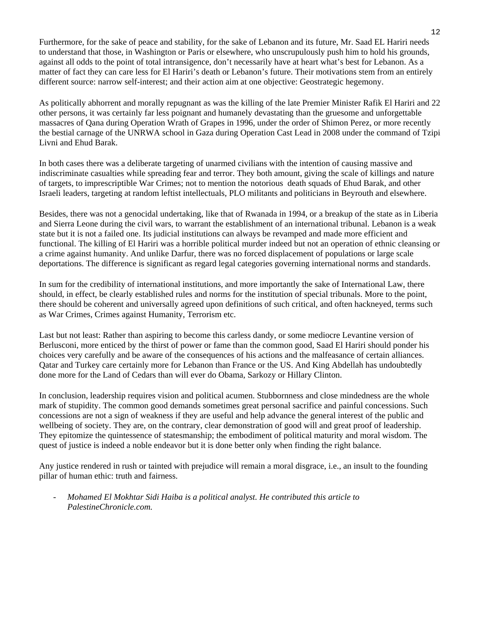Furthermore, for the sake of peace and stability, for the sake of Lebanon and its future, Mr. Saad EL Hariri needs to understand that those, in Washington or Paris or elsewhere, who unscrupulously push him to hold his grounds, against all odds to the point of total intransigence, don't necessarily have at heart what's best for Lebanon. As a matter of fact they can care less for El Hariri's death or Lebanon's future. Their motivations stem from an entirely different source: narrow self-interest; and their action aim at one objective: Geostrategic hegemony.

As politically abhorrent and morally repugnant as was the killing of the late Premier Minister Rafik El Hariri and 22 other persons, it was certainly far less poignant and humanely devastating than the gruesome and unforgettable massacres of Qana during Operation Wrath of Grapes in 1996, under the order of Shimon Perez, or more recently the bestial carnage of the UNRWA school in Gaza during Operation Cast Lead in 2008 under the command of Tzipi Livni and Ehud Barak.

In both cases there was a deliberate targeting of unarmed civilians with the intention of causing massive and indiscriminate casualties while spreading fear and terror. They both amount, giving the scale of killings and nature of targets, to imprescriptible War Crimes; not to mention the notorious death squads of Ehud Barak, and other Israeli leaders, targeting at random leftist intellectuals, PLO militants and politicians in Beyrouth and elsewhere.

Besides, there was not a genocidal undertaking, like that of Rwanada in 1994, or a breakup of the state as in Liberia and Sierra Leone during the civil wars, to warrant the establishment of an international tribunal. Lebanon is a weak state but it is not a failed one. Its judicial institutions can always be revamped and made more efficient and functional. The killing of El Hariri was a horrible political murder indeed but not an operation of ethnic cleansing or a crime against humanity. And unlike Darfur, there was no forced displacement of populations or large scale deportations. The difference is significant as regard legal categories governing international norms and standards.

In sum for the credibility of international institutions, and more importantly the sake of International Law, there should, in effect, be clearly established rules and norms for the institution of special tribunals. More to the point, there should be coherent and universally agreed upon definitions of such critical, and often hackneyed, terms such as War Crimes, Crimes against Humanity, Terrorism etc.

Last but not least: Rather than aspiring to become this carless dandy, or some mediocre Levantine version of Berlusconi, more enticed by the thirst of power or fame than the common good, Saad El Hariri should ponder his choices very carefully and be aware of the consequences of his actions and the malfeasance of certain alliances. Qatar and Turkey care certainly more for Lebanon than France or the US. And King Abdellah has undoubtedly done more for the Land of Cedars than will ever do Obama, Sarkozy or Hillary Clinton.

In conclusion, leadership requires vision and political acumen. Stubbornness and close mindedness are the whole mark of stupidity. The common good demands sometimes great personal sacrifice and painful concessions. Such concessions are not a sign of weakness if they are useful and help advance the general interest of the public and wellbeing of society. They are, on the contrary, clear demonstration of good will and great proof of leadership. They epitomize the quintessence of statesmanship; the embodiment of political maturity and moral wisdom. The quest of justice is indeed a noble endeavor but it is done better only when finding the right balance.

Any justice rendered in rush or tainted with prejudice will remain a moral disgrace, i.e., an insult to the founding pillar of human ethic: truth and fairness.

- *Mohamed El Mokhtar Sidi Haiba is a political analyst. He contributed this article to PalestineChronicle.com.*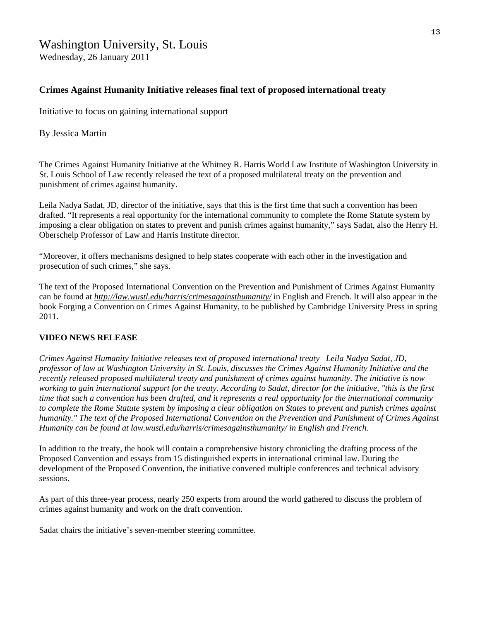## Washington University, St. Louis

Wednesday, 26 January 2011

#### **Crimes Against Humanity Initiative releases final text of proposed international treaty**

Initiative to focus on gaining international support

By Jessica Martin

The Crimes Against Humanity Initiative at the Whitney R. Harris World Law Institute of Washington University in St. Louis School of Law recently released the text of a proposed multilateral treaty on the prevention and punishment of crimes against humanity.

Leila Nadya Sadat, JD, director of the initiative, says that this is the first time that such a convention has been drafted. "It represents a real opportunity for the international community to complete the Rome Statute system by imposing a clear obligation on states to prevent and punish crimes against humanity," says Sadat, also the Henry H. Oberschelp Professor of Law and Harris Institute director.

"Moreover, it offers mechanisms designed to help states cooperate with each other in the investigation and prosecution of such crimes," she says.

The text of the Proposed International Convention on the Prevention and Punishment of Crimes Against Humanity can be found at *http://law.wustl.edu/harris/crimesagainsthumanity/* in English and French. It will also appear in the book Forging a Convention on Crimes Against Humanity, to be published by Cambridge University Press in spring 2011.

#### **VIDEO NEWS RELEASE**

*Crimes Against Humanity Initiative releases text of proposed international treaty Leila Nadya Sadat, JD, professor of law at Washington University in St. Louis, discusses the Crimes Against Humanity Initiative and the recently released proposed multilateral treaty and punishment of crimes against humanity. The initiative is now working to gain international support for the treaty. According to Sadat, director for the initiative, "this is the first time that such a convention has been drafted, and it represents a real opportunity for the international community to complete the Rome Statute system by imposing a clear obligation on States to prevent and punish crimes against humanity." The text of the Proposed International Convention on the Prevention and Punishment of Crimes Against Humanity can be found at law.wustl.edu/harris/crimesagainsthumanity/ in English and French.* 

In addition to the treaty, the book will contain a comprehensive history chronicling the drafting process of the Proposed Convention and essays from 15 distinguished experts in international criminal law. During the development of the Proposed Convention, the initiative convened multiple conferences and technical advisory sessions.

As part of this three-year process, nearly 250 experts from around the world gathered to discuss the problem of crimes against humanity and work on the draft convention.

Sadat chairs the initiative's seven-member steering committee.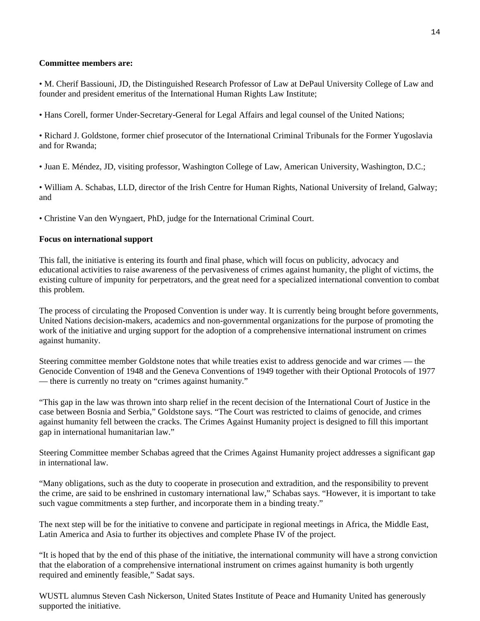#### **Committee members are:**

• M. Cherif Bassiouni, JD, the Distinguished Research Professor of Law at DePaul University College of Law and founder and president emeritus of the International Human Rights Law Institute;

• Hans Corell, former Under-Secretary-General for Legal Affairs and legal counsel of the United Nations;

• Richard J. Goldstone, former chief prosecutor of the International Criminal Tribunals for the Former Yugoslavia and for Rwanda;

• Juan E. Méndez, JD, visiting professor, Washington College of Law, American University, Washington, D.C.;

• William A. Schabas, LLD, director of the Irish Centre for Human Rights, National University of Ireland, Galway; and

• Christine Van den Wyngaert, PhD, judge for the International Criminal Court.

#### **Focus on international support**

This fall, the initiative is entering its fourth and final phase, which will focus on publicity, advocacy and educational activities to raise awareness of the pervasiveness of crimes against humanity, the plight of victims, the existing culture of impunity for perpetrators, and the great need for a specialized international convention to combat this problem.

The process of circulating the Proposed Convention is under way. It is currently being brought before governments, United Nations decision-makers, academics and non-governmental organizations for the purpose of promoting the work of the initiative and urging support for the adoption of a comprehensive international instrument on crimes against humanity.

Steering committee member Goldstone notes that while treaties exist to address genocide and war crimes — the Genocide Convention of 1948 and the Geneva Conventions of 1949 together with their Optional Protocols of 1977 — there is currently no treaty on "crimes against humanity."

"This gap in the law was thrown into sharp relief in the recent decision of the International Court of Justice in the case between Bosnia and Serbia," Goldstone says. "The Court was restricted to claims of genocide, and crimes against humanity fell between the cracks. The Crimes Against Humanity project is designed to fill this important gap in international humanitarian law."

Steering Committee member Schabas agreed that the Crimes Against Humanity project addresses a significant gap in international law.

"Many obligations, such as the duty to cooperate in prosecution and extradition, and the responsibility to prevent the crime, are said to be enshrined in customary international law," Schabas says. "However, it is important to take such vague commitments a step further, and incorporate them in a binding treaty."

The next step will be for the initiative to convene and participate in regional meetings in Africa, the Middle East, Latin America and Asia to further its objectives and complete Phase IV of the project.

"It is hoped that by the end of this phase of the initiative, the international community will have a strong conviction that the elaboration of a comprehensive international instrument on crimes against humanity is both urgently required and eminently feasible," Sadat says.

WUSTL alumnus Steven Cash Nickerson, United States Institute of Peace and Humanity United has generously supported the initiative.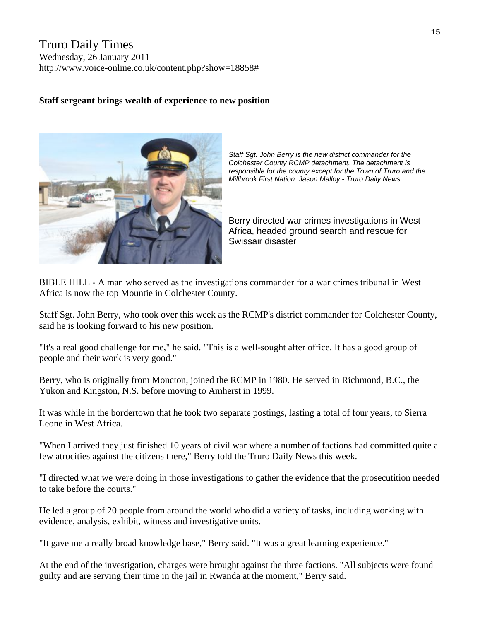#### Truro Daily Times Wednesday, 26 January 2011 [http://www.voice-online.co.uk/content.php?show=18858#](http://www.voice-online.co.uk/content.php?show=18858)

#### **Staff sergeant brings wealth of experience to new position**



*Staff Sgt. John Berry is the new district commander for the Colchester County RCMP detachment. The detachment is responsible for the county except for the Town of Truro and the Millbrook First Nation. Jason Malloy - Truro Daily News* 

Berry directed war crimes investigations in West Africa, headed ground search and rescue for Swissair disaster

BIBLE HILL - A man who served as the investigations commander for a war crimes tribunal in West Africa is now the top Mountie in Colchester County.

Staff Sgt. John Berry, who took over this week as the RCMP's district commander for Colchester County, said he is looking forward to his new position.

"It's a real good challenge for me," he said. "This is a well-sought after office. It has a good group of people and their work is very good."

Berry, who is originally from Moncton, joined the RCMP in 1980. He served in Richmond, B.C., the Yukon and Kingston, N.S. before moving to Amherst in 1999.

It was while in the bordertown that he took two separate postings, lasting a total of four years, to Sierra Leone in West Africa.

"When I arrived they just finished 10 years of civil war where a number of factions had committed quite a few atrocities against the citizens there," Berry told the Truro Daily News this week.

"I directed what we were doing in those investigations to gather the evidence that the prosecutition needed to take before the courts."

He led a group of 20 people from around the world who did a variety of tasks, including working with evidence, analysis, exhibit, witness and investigative units.

"It gave me a really broad knowledge base," Berry said. "It was a great learning experience."

At the end of the investigation, charges were brought against the three factions. "All subjects were found guilty and are serving their time in the jail in Rwanda at the moment," Berry said.